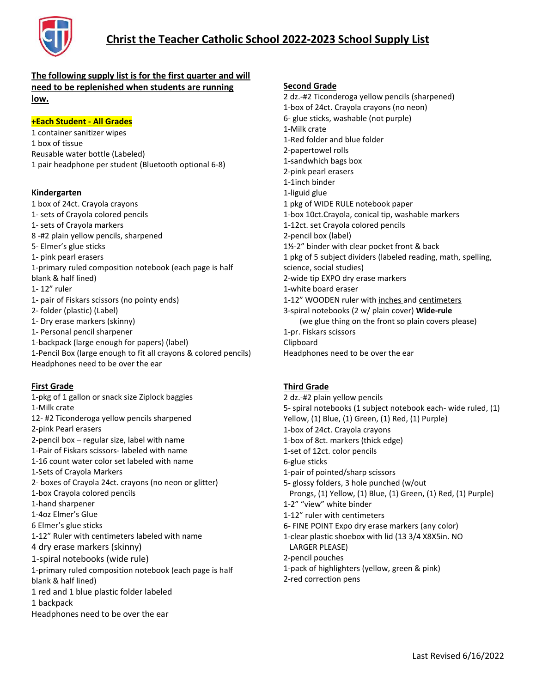

# **Christ the Teacher Catholic School 2022-2023 School Supply List**

## **The following supply list is for the first quarter and will need to be replenished when students are running low.**

### **+Each Student - All Grades**

1 container sanitizer wipes 1 box of tissue Reusable water bottle (Labeled) 1 pair headphone per student (Bluetooth optional 6-8)

#### **Kindergarten**

1 box of 24ct. Crayola crayons 1- sets of Crayola colored pencils 1- sets of Crayola markers 8 -#2 plain yellow pencils, sharpened 5- Elmer's glue sticks 1- pink pearl erasers 1-primary ruled composition notebook (each page is half blank & half lined) 1- 12" ruler 1- pair of Fiskars scissors (no pointy ends) 2- folder (plastic) (Label) 1- Dry erase markers (skinny) 1- Personal pencil sharpener 1-backpack (large enough for papers) (label) 1-Pencil Box (large enough to fit all crayons & colored pencils) Headphones need to be over the ear

#### **First Grade**

1-pkg of 1 gallon or snack size Ziplock baggies 1-Milk crate 12- #2 Ticonderoga yellow pencils sharpened 2-pink Pearl erasers 2-pencil box – regular size, label with name 1-Pair of Fiskars scissors- labeled with name 1-16 count water color set labeled with name 1-Sets of Crayola Markers 2- boxes of Crayola 24ct. crayons (no neon or glitter) 1-box Crayola colored pencils 1-hand sharpener 1-4oz Elmer's Glue 6 Elmer's glue sticks 1-12" Ruler with centimeters labeled with name 4 dry erase markers (skinny) 1-spiral notebooks (wide rule) 1-primary ruled composition notebook (each page is half blank & half lined) 1 red and 1 blue plastic folder labeled 1 backpack Headphones need to be over the ear

### **Second Grade**

2 dz.-#2 Ticonderoga yellow pencils (sharpened) 1-box of 24ct. Crayola crayons (no neon) 6- glue sticks, washable (not purple) 1-Milk crate 1-Red folder and blue folder 2-papertowel rolls 1-sandwhich bags box 2-pink pearl erasers 1-1inch binder 1-liguid glue 1 pkg of WIDE RULE notebook paper 1-box 10ct.Crayola, conical tip, washable markers 1-12ct. set Crayola colored pencils 2-pencil box (label) 1½-2" binder with clear pocket front & back 1 pkg of 5 subject dividers (labeled reading, math, spelling, science, social studies) 2-wide tip EXPO dry erase markers 1-white board eraser 1-12" WOODEN ruler with inches and centimeters 3-spiral notebooks (2 w/ plain cover) **Wide-rule** (we glue thing on the front so plain covers please) 1-pr. Fiskars scissors Clipboard Headphones need to be over the ear

### **Third Grade**

2 dz.-#2 plain yellow pencils 5- spiral notebooks (1 subject notebook each- wide ruled, (1) Yellow, (1) Blue, (1) Green, (1) Red, (1) Purple) 1-box of 24ct. Crayola crayons 1-box of 8ct. markers (thick edge) 1-set of 12ct. color pencils 6-glue sticks 1-pair of pointed/sharp scissors 5- glossy folders, 3 hole punched (w/out Prongs, (1) Yellow, (1) Blue, (1) Green, (1) Red, (1) Purple) 1-2" "view" white binder 1-12" ruler with centimeters 6- FINE POINT Expo dry erase markers (any color) 1-clear plastic shoebox with lid (13 3/4 X8X5in. NO LARGER PLEASE) 2-pencil pouches 1-pack of highlighters (yellow, green & pink) 2-red correction pens